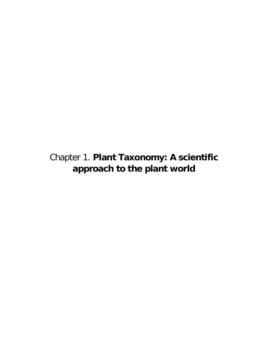# Chapter 1. **Plant Taxonomy: A scientific approach to the plant world**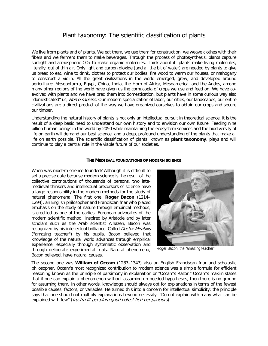# Plant taxonomy: The scientific classification of plants

We live from plants and of plants. We eat them, we use them for construction, we weave clothes with their fibers and we ferment them to make beverages. Through the process of photosynthesis, plants capture sunlight and atmospheric CO<sub>2</sub> to make organic molecules. Think about it: plants make living molecules, literally, out of thin air. Only light and carbon dioxide (and a little bit of water) are needed by plants to give us bread to eat, wine to drink, clothes to protect our bodies, fire wood to warm our houses, or mahogany to construct a violin. All the great civilizations in the world emerged, grew, and developed around agriculture: Mesopotamia, Egypt, China, India, the Horn of Africa, Mesoamerica, and the Andes, among many other regions of the world have given us the cornucopia of crops we use and feed on. We have coevolved with plants and we have bred them into domestication, but plants have in some curious way also "domesticated" us, Homo sapiens. Our modern specialization of labor, our cities, our landscapes, our entire civilizations are a direct product of the way we have organized ourselves to obtain our crops and secure our timber.

Understanding the natural history of plants is not only an intellectual pursuit in theoretical science, it is the result of a deep basic need to understand our own history and to envision our own future. Feeding nine billion human beings in the world by 2050 while maintaining the ecosystem services and the biodiversity of life on earth will demand our best science, and a deep, profound understanding of the plants that make all life on earth possible. The scientific classification of plants, known as **plant taxonomy**, plays and will continue to play a central role in the viable future of our societies.

#### **THE MEDIEVAL FOUNDATIONS OF MODERN SCIENCE**

When was modern science founded? Although it is difficult to set a precise date because modern science is the result of the collective contributions of thousands of persons, two latemedieval thinkers and intellectual precursors of science have a large responsibility in the modern methods for the study of natural phenomena. The first one, **Roger Bacon** (1214– 1294), an English philosopher and Franciscan friar who placed emphasis on the study of nature through empirical methods, is credited as one of the earliest European advocates of the modern scientific method. Inspired by Aristotle and by later scholars such as the Arab scientist Alhazen, Bacon was recognized by his intellectual brilliance. Called *Doctor Mirabilis* ("amazing teacher") by his pupils, Bacon believed that knowledge of the natural world advances through empirical experience, especially through systematic observation and through deliberate experimental trials. Natural phenomena, Bacon believed, have natural causes.



Roger Bacon, the "amazing teacher"

The second one was **William of Occam** (1287–1347) also an English Franciscan friar and scholastic philosopher. Occam's most recognized contribution to modern science was a simple formula for efficient reasoning known as the principle of parsimony in explanation or "Occam's Razor." Occam's maxim states that if one can explain a phenomenon without assuming un-needed hypotheses, then there is no ground for assuming them. In other words, knowledge should always opt for explanations in terms of the fewest possible causes, factors, or variables. He turned this into a concern for intellectual simplicity; the principle says that one should not multiply explanations beyond necessity: "Do not explain with many what can be explained with few" (frustra fit per plura quod potest fieri per pauciora).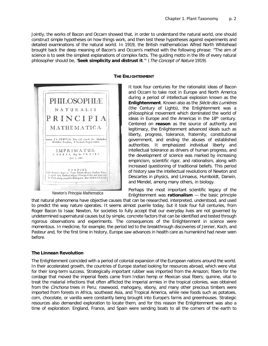Jointly, the works of Bacon and Occam showed that, in order to understand the natural world, one should construct simple hypotheses on how things work, and then test these hypotheses against experiments and detailed examinations of the natural world. In 1919, the British mathematician Alfred North Whitehead brought back the deep meaning of Bacon's and Occam's method with the following phrase: "The aim of science is to seek the simplest explanations of complex facts. The guiding motto in the life of every natural philosopher should be, '**Seek simplicity and distrust it**.'" (The Concept of Nature 1919).



Newton's *Principia Mathematica*

#### **THE ENLIGHTENMENT**

It took four centuries for the rationalist ideas of Bacon and Occam to take root in Europe and North America during a period of intellectual explosion known as the **Enlightenment**. Known also as the Siècle des Lumières (the Century of Lights), the Enlightenment was a philosophical movement which dominated the world of ideas in Europe and the Americas in the 18<sup>th</sup> century. Centered on **reason** as the source of authority and legitimacy, the Enlightenment advanced ideals such as liberty, progress, tolerance, fraternity, constitutional government, and ending the abuses of established authorities. It emphasized individual liberty and intellectual tolerance as drivers of human progress, and the development of science was marked by increasing empiricism, scientific rigor, and rationalism, along with increased questioning of traditional beliefs. This period of history saw the intellectual revolutions of Newton and Descartes in physics, and Linnaeus, Humboldt, Darwin, and Mendel, among many others, in biology.

Perhaps the most important scientific legacy of the Enlightenment was **rationalism** — the basic principle

that natural phenomena have objective causes that can be researched, interpreted, understood, and used to predict the way nature operates. It seems almost puerile today, but it took four full centuries, from Roger Bacon to Isaac Newton, for societies to fully accept that our everyday lives are not governed by undetermined supernatural causes but by simple, concrete factors that can be identified and tested through rigorous observations and experiments. The consequences of the Enlightenment in science were momentous. In medicine, for example, the period led to the breakthrough discoveries of Jenner, Koch, and Pasteur and, for the first time in history, Europe saw advances in health care as humankind had never seen before.

# **The Linnean Revolution**

The Enlightenment coincided with a period of colonial expansion of the European nations around the world. In their accelerated growth, the countries of Europe started looking for resources abroad, which were vital for their long-term success. Strategically important rubber was imported from the Amazon; fibers for the cordage that moved the imperial fleets came from Indian hemp or Mexican sisal fibers; quinine, vital to treat the malarial infections that often afflicted the imperial armies in the tropical colonies, was obtained from the *Cinchona* trees in Peru; rosewood, mahogany, ebony, and many other precious timbers were imported from forests in Africa, southeast Asia, and Tropical America, while new foods such as potatoes, corn, chocolate, or vanilla were constantly being brought into Europe's farms and greenhouses. Strategic resources also demanded exploration to locate them, and for this reason the Enlightenment was also a time of exploration. England, France, and Spain were sending boats to all the corners of the earth to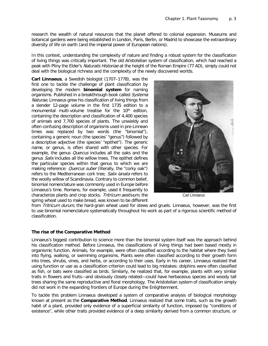research the wealth of natural resources that the planet offered to colonial expansion. Museums and botanical gardens were being established in London, Paris, Berlin, or Madrid to showcase the extraordinary diversity of life on earth (and the imperial power of European nations).

In this context, understanding the complexity of nature and finding a robust system for the classification of living things was critically important. The old Aristotelian system of classification, which had reached a peak with Pliny the Elder's Naturalis Historiae at the height of the Roman Empire (77 AD), simply could not deal with the biological richness and the complexity of the newly discovered worlds.

**Carl Linnaeus**, a Swedish biologist (1707–1778), was the first one to tackle the challenge of plant classification by developing the modern **binomial system** for naming organisms. Published in a breakthrough book called Systema Naturae, Linnaeus grew his classification of living things from a slender 12-page volume in the first 1735 edition to a monumental multi-volume treatise for the 10<sup>th</sup> edition, containing the description and classification of 4,400 species of animals and 7,700 species of plants. The unwieldy and often confusing description of organisms used in pre-Linnean times was replaced by two words (the "binomial"), containing a generic noun (the species' "genus") followed by a descriptive adjective (the species' "epithet"). The generic name, or genus, is often shared with other species. For example, the genus *Quercus* includes all the oaks and the genus Salix includes all the willow trees. The epithet defines the particular species within that genus to which we are making reference: *Quercus suber* (literally, the "corky oak") refers to the Mediterranean cork tree; Salix lanata refers to the woolly willow of Scandinavia. Contrary to common belief, binomial nomenclature was commonly used in Europe before Linnaeus's time. Romans, for example, used it frequently to characterize plants and crop stocks. Tritricum aestivum, the spring wheat used to make bread, was known to be different



Carl Linnaeus

from Tritricum durum, the hard-grain wheat used for stews and gruels. Linnaeus, however, was the first to use binomial nomenclature systematically throughout his work as part of a rigorous scientific method of classification.

#### **The rise of the Comparative Method**

Linnaeus's biggest contribution to science more than the binomial system itself was the approach behind his classification method. Before Linnaeus, the classifications of living things had been based mostly in organismic function. Animals, for example, were often classified according to the habitat where they lived into flying, walking, or swimming organisms. Plants were often classified according to their growth form into trees, shrubs, vines, and herbs, or according to their uses. Early in his career, Linnaeus realized that using function or use as a classification criterion could lead to big mistakes: dolphins were often classified as fish, or bats were classified as birds. Similarly, he realized that, for example, plants with very similar traits in flowers and fruits—and obviously closely related—could have herbaceous species and woody tall trees sharing the same reproductive and floral morphology. The Aristotelian system of classification simply did not work in the expanding frontiers of Europe during the Enlightenment.

To tackle this problem Linnaeus developed a system of comparative analysis of biological morphology known at present as the **Comparative Method**. Linnaeus realized that some traits, such as the growth habit of a plant, provided only evidence of a superficial similarity of function, imposed by "conditions of existence", while other traits provided evidence of a deep similarity derived from a common structure, or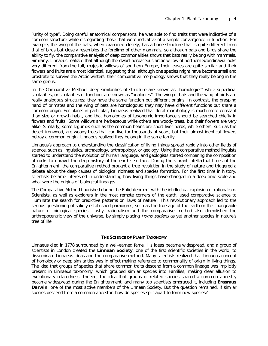"unity of type". Doing careful anatomical comparisons, he was able to find traits that were indicative of a common structure while disregarding those that were indicative of a simple convergence in function. For example, the wing of the bats, when examined closely, has a bone structure that is quite different from that of birds but closely resembles the forelimb of other mammals, so although bats and birds share the ability to fly, the comparative analysis of deep commonalities shows that bats really belong with mammals. Similarly, Linnaeus realized that although the dwarf herbaceous arctic willow of northern Scandinavia looks very different from the tall, majestic willows of southern Europe, their leaves are quite similar and their flowers and fruits are almost identical, suggesting that, although one species might have become small and prostrate to survive the Arctic winters, their comparative morphology shows that they really belong in the same genus.

In the Comparative Method, deep similarities of structure are known as "homologies" while superficial similarities, or similarities of function, are known as "analogies". The wing of bats and the wing of birds are really analogous structures; they have the same function but different origins. In contrast, the grasping hand of primates and the wing of bats are homologous; they may have different functions but share a common origin. For plants in particular, Linnaeus realized that floral morphology is much more constant than size or growth habit, and that homologies of taxonomic importance should be searched chiefly in flowers and fruits: Some willows are herbaceous while others are woody trees, but their flowers are very alike. Similarly, some legumes such as the common beans are short-liver herbs, while others, such as the desert ironwood, are woody trees that can live for thousands of years, but their almost-identical flowers betray a common origin. Linnaeus realized they belong in the same family.

Linnaeus's approach to understanding the classification of living things spread rapidly into other fields of science, such as linguistics, archaeology, anthropology, or geology. Using the comparative method linguists started to understand the evolution of human language, and geologists started comparing the composition of rocks to unravel the deep history of the earth's surface. During the vibrant intellectual times of the Enlightenment, the comparative method brought a true revolution in the study of nature and triggered a debate about the deep causes of biological richness and species formation. For the first time in history, scientists became interested in understanding how living things have changed in a deep time scale and what were the origins of biological lineages.

The Comparative Method flourished during the Enlightenment with the intellectual explosion of rationalism. Scientists, as well as explorers in the most remote corners of the earth, used comparative science to illuminate the search for predictive patterns or "laws of nature". This revolutionary approach led to the serious questioning of solidly established paradigms, such as the true age of the earth or the changeable nature of biological species. Lastly, rationalism and the comparative method also demolished the anthropocentric view of the universe, by simply placing Homo sapiens as yet another species in nature's tree of life.

#### **THE SCIENCE OF PLANT TAXONOMY**

Linnaeus died in 1778 surrounded by a well-earned fame. His ideas became widespread, and a group of scientists in London created the **Linnean Society**, one of the first scientific societies in the world, to disseminate Linnaeus ideas and the comparative method. Many scientists realized that Linnaeus concept of homology or deep similarities was in effect making reference to commonality of origin in living things. The idea that groups of species that share common traits descend from a common lineage was implicitly present in Linnaeus taxonomy, which grouped similar species into Families, making clear allusion to evolutionary relatedness. Indeed, the idea that groups of related species shared a common ancestry became widespread during the Enlightenment, and many top scientists embraced it, including **Erasmus Darwin**, one of the most active members of the Linnean Society. But the question remained, if similar species descend from a common ancestor, how do species split apart to form new species?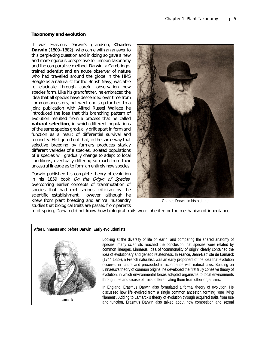#### **Taxonomy and evolution**

It was Erasmus Darwin's grandson, **Charles Darwin** (1809–1882), who came with an answer to this perplexing question and in doing so gave a new and more rigorous perspective to Linnean taxonomy and the comparative method. Darwin, a Cambridgetrained scientist and an acute observer of nature who had travelled around the globe in the HMS Beagle as a naturalist for the British Navy, was able to elucidate through careful observation how species form. Like his grandfather, he embraced the idea that all species have descended over time from common ancestors, but went one step further. In a joint publication with Alfred Russel Wallace he introduced the idea that this branching pattern of evolution resulted from a process that he called **natural selection**, in which different populations of the same species gradually drift apart in form and function as a result of differential survival and fecundity. He figured out that, in the same way that selective breeding by farmers produces starkly different varieties of a species, isolated populations of a species will gradually change to adapt to local conditions, eventually differing so much from their ancestral lineage as to form an entirely new species.

Darwin published his complete theory of evolution in his 1859 book On the Origin of Species, overcoming earlier concepts of transmutation of species that had met serious criticism by the scientific establishment. However, although he knew from plant breeding and animal husbandry studies that biological traits are passed from parents



Charles Darwin in his old age

to offspring, Darwin did not know how biological traits were inherited or the mechanism of inheritance.

#### **After Linnaeus and before Darwin: Early evolutionists**



Looking at the diversity of life on earth, and comparing the shared anatomy of species, many scientists reached the conclusion that species were related by common lineages. Linnaeus' idea of "commonality of origin" clearly contained the idea of evolutionary and genetic relatedness. In France, Jean-Baptiste de Lamarck (1744 1829), a French naturalist, was an early proponent of the idea that evolution occurred in nature and proceeded in accordance with natural laws. Building on Linnaeus's theory of common origins, he developed the first truly cohesive theory of evolution, in which environmental forces adapted organisms to local environments through use and disuse of traits, differentiating them from other organisms.

In England, Erasmus Darwin also formulated a formal theory of evolution. He discussed how life evolved from a single common ancestor, forming "one living filament". Adding to Lamarck's theory of evolution through acquired traits from use and function, Erasmus Darwin also talked about how competition and sexual Lamarck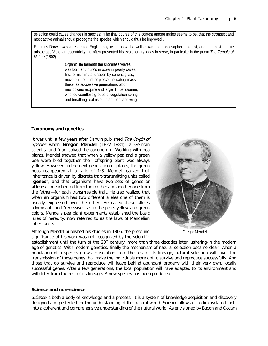selection could cause changes in species: "The final course of this contest among males seems to be, that the strongest and most active animal should propagate the species which should thus be improved".

Erasmus Darwin was a respected English physician, as well a well-known poet, philosopher, botanist, and naturalist. In true aristocratic Victorian eccentricity, he often presented his evolutionary ideas in verse, in particular in the poem *The Temple of Nature* (1802):

> Organic life beneath the shoreless waves was born and nurs'd in ocean's pearly caves; first forms minute, unseen by spheric glass, move on the mud, or pierce the watery mass; these, as successive generations bloom, new powers acquire and larger limbs assume; whence countless groups of vegetation spring, and breathing realms of fin and feet and wing.

## **Taxonomy and genetics**

It was until a few years after Darwin published The Origin of Species when **Gregor Mendel** (1822–1884), a German scientist and friar, solved the conundrum. Working with pea plants, Mendel showed that when a yellow pea and a green pea were bred together their offspring plant was always yellow. However, in the next generation of plants, the green peas reappeared at a ratio of 1:3. Mendel realized that inheritance is driven by discrete trait-transmitting units called "**genes**", and that organisms have two sets of genes or **alleles**—one inherited from the mother and another one from the father—for each transmissible trait. He also realized that when an organism has two different alleles one of them is usually expressed over the other. He called these alleles "dominant" and "recessive", as in the pea's yellow and green colors. Mendel's pea plant experiments established the basic rules of heredity, now referred to as the laws of Mendelian inheritance.

Although Mendel published his studies in 1866, the profound significance of his work was not recognized by the scientific



establishment until the turn of the 20<sup>th</sup> century, more than three decades later, ushering-in the modern age of genetics. With modern genetics, finally the mechanism of natural selection became clear: When a population of a species grows in isolation from the rest of its lineage, natural selection will favor the transmission of those genes that make the individuals more apt to survive and reproduce successfully. And those that do survive and reproduce will leave behind abundant progeny with their very own, locally successful genes. After a few generations, the local population will have adapted to its environment and will differ from the rest of its lineage. A new species has been produced.

#### **Science and non-science**

Science is both a body of knowledge and a process. It is a system of knowledge acquisition and discovery designed and perfected for the understanding of the natural world. Science allows us to link isolated facts into a coherent and comprehensive understanding of the natural world. As envisioned by Bacon and Occam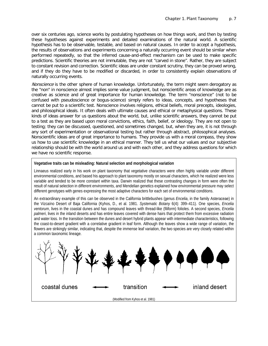over six centuries ago, science works by postulating hypotheses on how things work, and then by testing these hypotheses against experiments and detailed examinations of the natural world. A scientific hypothesis has to be observable, testable, and based on natural causes. In order to accept a hypothesis, the results of observations and experiments concerning a naturally occurring event should be similar when performed repeatedly, so that the inferred cause-and-effect mechanism can be used to make specific predictions. Scientific theories are not immutable, they are not "carved in stone". Rather, they are subject to constant revision and correction. Scientific ideas are under constant scrutiny, they can be proved wrong, and if they do they have to be modified or discarded, in order to consistently explain observations of naturally occurring events.

Nonscience is the other sphere of human knowledge. Unfortunately, the term might seem derogatory as the "non" in nonscience almost implies some value judgment, but nonscientific areas of knowledge are as creative as science and of great importance for human knowledge. The term "nonscience" (not to be confused with pseudoscience or bogus-science) simply refers to ideas, concepts, and hypotheses that cannot be put to a scientific test. Nonscience involves religions, ethical beliefs, moral precepts, ideologies, and philosophical ideals. It often deals with ultimate causes and ethical or metaphysical questions. These kinds of ideas answer for us questions about the world, but, unlike scientific answers, they cannot be put to a test as they are based upon moral convictions, ethics, faith, belief, or ideology. They are not open to testing; they can be discussed, questioned, and sometimes changed, but, when they are, it is not through any sort of experimentation or observational testing but rather through abstract, philosophical analyses. Nonscientific ideas are of great importance to humans. They provide us with a moral compass, they show us how to use scientific knowledge in an ethical manner. They tell us what our values and our subjective relationship should be with the world around us and with each other, and they address questions for which we have no scientific response.

#### **Vegetative traits can be misleading: Natural selection and morphological variation**

Linnaeus realized early in his work on plant taxonomy that vegetative characters were often highly variable under different environmental conditions, and based his approach to plant taxonomy mostly on sexual characters, which he realized were less variable and tended to be more constant within taxa. Darwin realized that these contrasting changes in form were often the result of natural selection in different environments, and Mendelian genetics explained how environmental pressure may select different genotypes with genes expressing the most adaptive characters for each set of environmental conditions.

An extraordinary example of this can be observed in the California brittlebushes (genus *Encelia*, in the family Asteraceae) in the Vizcaíno Desert of Baja California (Kyhos, D., et al. 1981. *Systematic Botany* 6(4): 399–411). One species, *Encelia ventorum*, lives in the coastal dunes and has compound leaves with thread-like (filiform) folioles. A second species, *Encelia palmeri*, lives in the inland deserts and has entire leaves covered with dense hairs that protect them from excessive radiation and water loss. In the transition between the dunes and desert hybrid plants appear with intermediate characteristics, following the coast-to-desert gradient with a correlative gradient in leaf form. Although the leaves show a wide range of variation, the flowers are strikingly similar, indicating that, despite the immense leaf variation, the two species are very closely related within a common taxonomic lineage.

|                                   |  |            |  | **********    |
|-----------------------------------|--|------------|--|---------------|
| coastal dunes                     |  | transition |  | inland desert |
| (Modified from Kyhos et al. 1981) |  |            |  |               |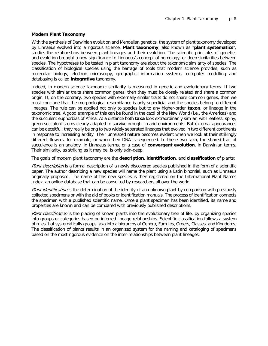### **Modern Plant Taxonomy**

With the synthesis of Darwinian evolution and Mendelian genetics, the system of plant taxonomy developed by Linnaeus evolved into a rigorous science. **Plant taxonomy**, also known as "**plant systematics**", studies the relationships between plant lineages and their evolution. The scientific principles of genetics and evolution brought a new significance to Linnaeus's concept of homology, or deep similarities between species. The hypotheses to be tested in plant taxonomy are about the taxonomic similarity of species. The classification of biological species using the barrage of tools that modern science provides, such as molecular biology, electron microscopy, geographic information systems, computer modelling and databasing is called **integrative** taxonomy.

Indeed, in modern science taxonomic similarity is measured in genetic and evolutionary terms. If two species with similar traits share common genes, then they must be closely related and share a common origin. If, on the contrary, two species with externally similar traits do not share common genes, then we must conclude that the morphological resemblance is only superficial and the species belong to different lineages. The rule can be applied not only to species but to any higher-order **taxon**, or lineage in the taxonomic tree. A good example of this can be found in the cacti of the New World (i.e., the Americas) and the succulent euphorbias of Africa. At a distance both **taxa** look extraordinarily similar, with leafless, spiny, green succulent stems clearly adapted to survive drought in arid environments. But external appearances can be deceitful: they really belong to two widely separated lineages that evolved in two different continents in response to increasing aridity. Their unrelated nature becomes evident when we look at their strikingly different flowers, for example, or when their DNA is sequenced. In these two taxa, the shared trait of succulence is an analogy, in Linnaeus terms, or a case of **convergent evolution**, in Darwinian terms. Their similarity, as striking as it may be, is only skin-deep.

The goals of modern plant taxonomy are the **description**, **identification**, and **classification** of plants:

Plant description is a formal description of a newly discovered species published in the form of a scientific paper. The author describing a new species will name the plant using a Latin binomial, such as Linnaeus originally proposed. The name of this new species is then registered on the International Plant Names Index, an online database that can be consulted by researchers all over the world.

Plant identification is the determination of the identity of an unknown plant by comparison with previously collected specimens or with the aid of books or identification manuals. The process of identification connects the specimen with a published scientific name. Once a plant specimen has been identified, its name and properties are known and can be compared with previously published descriptions.

Plant classification is the placing of known plants into the evolutionary tree of life, by organizing species into groups or categories based on inferred lineage relationships. Scientific classification follows a system of rules that systematically groups taxa into a hierarchy of Genera, Families, Orders, Classes, and Kingdoms. The classification of plants results in an organized system for the naming and cataloging of specimens based on the most rigorous evidence on the inter-relationships between plant lineages.